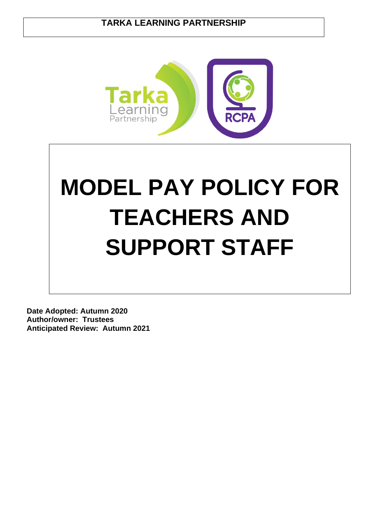# **TARKA LEARNING PARTNERSHIP**



# **MODEL PAY POLICY FOR TEACHERS AND SUPPORT STAFF**

**Date Adopted: Autumn 2020 Author/owner: Trustees Anticipated Review: Autumn 2021**

 $\overline{a}$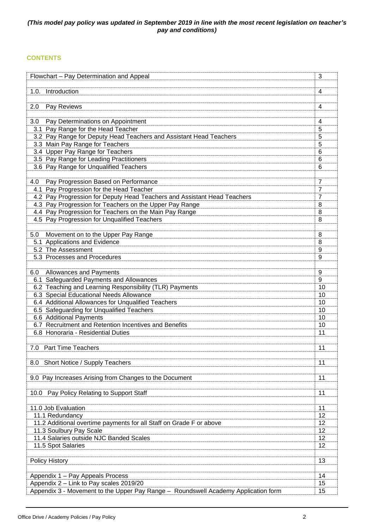# *(This model pay policy was updated in September 2019 in line with the most recent legislation on teacher's pay and conditions)*

# **CONTENTS**

| Flowchart - Pay Determination and Appeal                                                               | 3              |
|--------------------------------------------------------------------------------------------------------|----------------|
| Introduction<br>1.0.                                                                                   | 4              |
| 2.0<br>Pay Reviews                                                                                     | 4              |
|                                                                                                        |                |
| Pay Determinations on Appointment<br>3.0                                                               | 4              |
| 3.1 Pay Range for the Head Teacher                                                                     | 5              |
| 3.2 Pay Range for Deputy Head Teachers and Assistant Head Teachers                                     | 5              |
| 3.3 Main Pay Range for Teachers<br>3.4 Upper Pay Range for Teachers                                    | 5<br>6         |
| 3.5 Pay Range for Leading Practitioners                                                                | 6              |
| 3.6 Pay Range for Unqualified Teachers                                                                 | 6              |
|                                                                                                        |                |
| Pay Progression Based on Performance<br>4.0                                                            | $\overline{7}$ |
| 4.1 Pay Progression for the Head Teacher                                                               | 7              |
| 4.2 Pay Progression for Deputy Head Teachers and Assistant Head Teachers                               | 7              |
| 4.3 Pay Progression for Teachers on the Upper Pay Range                                                | 8              |
| 4.4 Pay Progression for Teachers on the Main Pay Range<br>4.5 Pay Progression for Unqualified Teachers | 8<br>8         |
|                                                                                                        |                |
| Movement on to the Upper Pay Range<br>5.0                                                              | 8              |
| 5.1 Applications and Evidence                                                                          | 8              |
| 5.2 The Assessment                                                                                     | 9              |
| 5.3 Processes and Procedures                                                                           | 9              |
|                                                                                                        |                |
| Allowances and Payments<br>6.0                                                                         | 9              |
| 6.1 Safeguarded Payments and Allowances                                                                | 9              |
| 6.2 Teaching and Learning Responsibility (TLR) Payments<br>6.3 Special Educational Needs Allowance     | 10<br>10       |
| 6.4 Additional Allowances for Unqualified Teachers                                                     | 10             |
| 6.5 Safeguarding for Unqualified Teachers                                                              | 10             |
| 6.6 Additional Payments                                                                                | 10             |
| 6.7 Recruitment and Retention Incentives and Benefits                                                  | 10             |
| 6.8 Honoraria - Residential Duties                                                                     | 11             |
|                                                                                                        |                |
| 7.0 Part Time Teachers                                                                                 | 11             |
| Short Notice / Supply Teachers                                                                         | 11             |
| 8.0                                                                                                    |                |
| 9.0 Pay Increases Arising from Changes to the Document                                                 | 11             |
|                                                                                                        |                |
| 10.0 Pay Policy Relating to Support Staff                                                              | 11             |
|                                                                                                        |                |
| 11.0 Job Evaluation                                                                                    | 11             |
| 11.1 Redundancy                                                                                        | 12             |
| 11.2 Additional overtime payments for all Staff on Grade F or above                                    | 12             |
| 11.3 Soulbury Pay Scale<br>11.4 Salaries outside NJC Banded Scales                                     | 12<br>12       |
| 11.5 Spot Salaries                                                                                     | 12             |
|                                                                                                        |                |
| <b>Policy History</b>                                                                                  | 13             |
|                                                                                                        |                |
| Appendix 1 - Pay Appeals Process                                                                       | 14             |
| Appendix 2 - Link to Pay scales 2019/20                                                                | 15             |
| Appendix 3 - Movement to the Upper Pay Range - Roundswell Academy Application form                     | 15             |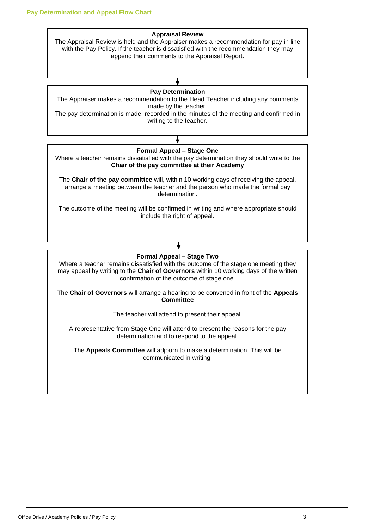#### **Appraisal Review**

The Appraisal Review is held and the Appraiser makes a recommendation for pay in line with the Pay Policy. If the teacher is dissatisfied with the recommendation they may append their comments to the Appraisal Report.

# **Pay Determination**

The Appraiser makes a recommendation to the Head Teacher including any comments made by the teacher.

The pay determination is made, recorded in the minutes of the meeting and confirmed in writing to the teacher.

# **Formal Appeal – Stage Two**

Where a teacher remains dissatisfied with the outcome of the stage one meeting they may appeal by writing to the **Chair of Governors** within 10 working days of the written confirmation of the outcome of stage one.

The **Chair of Governors** will arrange a hearing to be convened in front of the **Appeals Committee**

The teacher will attend to present their appeal.

A representative from Stage One will attend to present the reasons for the pay determination and to respond to the appeal.

The **Appeals Committee** will adjourn to make a determination. This will be communicated in writing.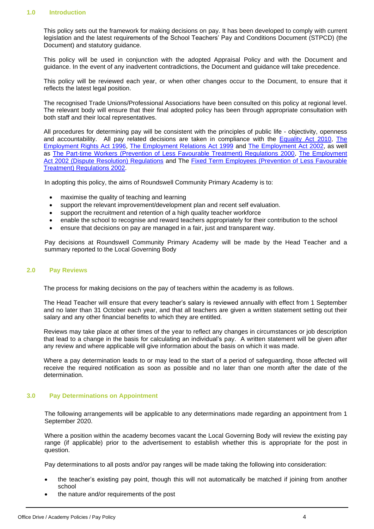# **1.0 Introduction**

This policy sets out the framework for making decisions on pay. It has been developed to comply with current legislation and the latest requirements of the School Teachers' Pay and Conditions Document (STPCD) (the Document) and statutory guidance.

This policy will be used in conjunction with the adopted Appraisal Policy and with the Document and guidance. In the event of any inadvertent contradictions, the Document and guidance will take precedence.

This policy will be reviewed each year, or when other changes occur to the Document, to ensure that it reflects the latest legal position.

The recognised Trade Unions/Professional Associations have been consulted on this policy at regional level. The relevant body will ensure that their final adopted policy has been through appropriate consultation with both staff and their local representatives.

All procedures for determining pay will be consistent with the principles of public life - objectivity, openness and accountability. All pay related decisions are taken in compliance with the [Equality Act 2010,](http://www.legislation.gov.uk/ukpga/2010/15/contents) [The](http://www.hmso.gov.uk/acts/acts1996/1996018.htm)  [Employment Rights Act 1996,](http://www.hmso.gov.uk/acts/acts1996/1996018.htm) [The Employment Relations Act 1999](http://www.hmso.gov.uk/acts/acts1999/19990026.htm) and [The Employment Act 2002,](http://www.opsi.gov.uk/acts/acts2002/20020022.htm) as well as [The Part-time Workers \(Prevention of Less Favourable Treatment\) Regulations 2000,](http://www.dti.gov.uk/er/ptime.htm) [The Employment](http://www.dti.gov.uk/er/resolvingdisputes.htm)  [Act 2002 \(Dispute Resolution\) Regulations](http://www.dti.gov.uk/er/resolvingdisputes.htm) and The [Fixed Term Employees \(Prevention of Less Favourable](http://www.legislation.hmso.gov.uk/si/si2002/20022034.htm)  [Treatment\) Regulations 2002.](http://www.legislation.hmso.gov.uk/si/si2002/20022034.htm)

In adopting this policy, the aims of Roundswell Community Primary Academy is to:

- maximise the quality of teaching and learning
- support the relevant improvement/development plan and recent self evaluation.
- support the recruitment and retention of a high quality teacher workforce
- enable the school to recognise and reward teachers appropriately for their contribution to the school
- ensure that decisions on pay are managed in a fair, just and transparent way.

Pay decisions at Roundswell Community Primary Academy will be made by the Head Teacher and a summary reported to the Local Governing Body

#### **2.0 Pay Reviews**

The process for making decisions on the pay of teachers within the academy is as follows.

The Head Teacher will ensure that every teacher's salary is reviewed annually with effect from 1 September and no later than 31 October each year, and that all teachers are given a written statement setting out their salary and any other financial benefits to which they are entitled.

Reviews may take place at other times of the year to reflect any changes in circumstances or job description that lead to a change in the basis for calculating an individual's pay. A written statement will be given after any review and where applicable will give information about the basis on which it was made.

Where a pay determination leads to or may lead to the start of a period of safeguarding, those affected will receive the required notification as soon as possible and no later than one month after the date of the determination.

#### **3.0 Pay Determinations on Appointment**

The following arrangements will be applicable to any determinations made regarding an appointment from 1 September 2020.

Where a position within the academy becomes vacant the Local Governing Body will review the existing pay range (if applicable) prior to the advertisement to establish whether this is appropriate for the post in question.

Pay determinations to all posts and/or pay ranges will be made taking the following into consideration:

- the teacher's existing pay point, though this will not automatically be matched if joining from another school
- the nature and/or requirements of the post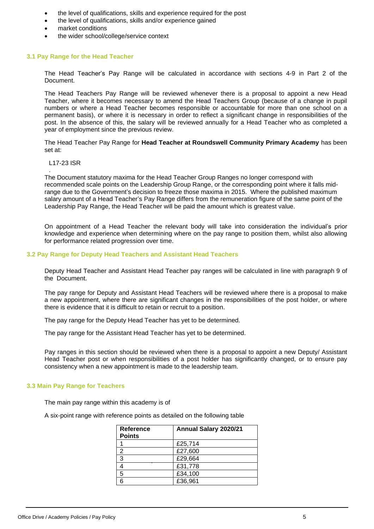- the level of qualifications, skills and experience required for the post
- the level of qualifications, skills and/or experience gained
- market conditions
- the wider school/college/service context

# **3.1 Pay Range for the Head Teacher**

The Head Teacher's Pay Range will be calculated in accordance with sections 4-9 in Part 2 of the Document.

The Head Teachers Pay Range will be reviewed whenever there is a proposal to appoint a new Head Teacher, where it becomes necessary to amend the Head Teachers Group (because of a change in pupil numbers or where a Head Teacher becomes responsible or accountable for more than one school on a permanent basis), or where it is necessary in order to reflect a significant change in responsibilities of the post. In the absence of this, the salary will be reviewed annually for a Head Teacher who as completed a year of employment since the previous review.

The Head Teacher Pay Range for **Head Teacher at Roundswell Community Primary Academy** has been set at:

#### L17-23 ISR

. The Document statutory maxima for the Head Teacher Group Ranges no longer correspond with recommended scale points on the Leadership Group Range, or the corresponding point where it falls midrange due to the Government's decision to freeze those maxima in 2015. Where the published maximum salary amount of a Head Teacher's Pay Range differs from the remuneration figure of the same point of the Leadership Pay Range, the Head Teacher will be paid the amount which is greatest value.

On appointment of a Head Teacher the relevant body will take into consideration the individual's prior knowledge and experience when determining where on the pay range to position them, whilst also allowing for performance related progression over time.

# **3.2 Pay Range for Deputy Head Teachers and Assistant Head Teachers**

Deputy Head Teacher and Assistant Head Teacher pay ranges will be calculated in line with paragraph 9 of the Document.

The pay range for Deputy and Assistant Head Teachers will be reviewed where there is a proposal to make a new appointment, where there are significant changes in the responsibilities of the post holder, or where there is evidence that it is difficult to retain or recruit to a position.

The pay range for the Deputy Head Teacher has yet to be determined.

The pay range for the Assistant Head Teacher has yet to be determined.

Pay ranges in this section should be reviewed when there is a proposal to appoint a new Deputy/ Assistant Head Teacher post or when responsibilities of a post holder has significantly changed, or to ensure pay consistency when a new appointment is made to the leadership team.

# **3.3 Main Pay Range for Teachers**

The main pay range within this academy is of

A six-point range with reference points as detailed on the following table

| Reference      | Annual Salary 2020/21 |
|----------------|-----------------------|
| <b>Points</b>  |                       |
|                | £25,714               |
| 2              | £27,600               |
| $\overline{3}$ | £29,664               |
|                | £31,778               |
| 5              | £34,100               |
|                | £36,961               |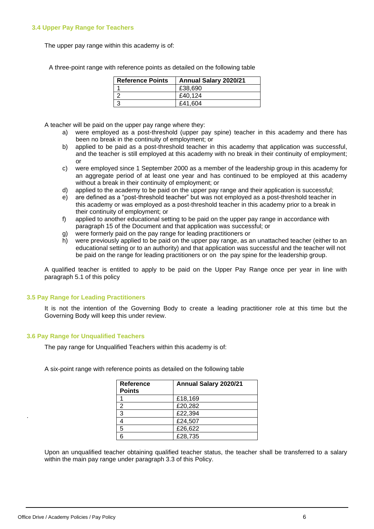# **3.4 Upper Pay Range for Teachers**

The upper pay range within this academy is of:

| <b>Reference Points</b> | Annual Salary 2020/21 |
|-------------------------|-----------------------|
|                         | £38.690               |
|                         | £40,124               |
|                         | £41.604               |

A three-point range with reference points as detailed on the following table

A teacher will be paid on the upper pay range where they:

- a) were employed as a post-threshold (upper pay spine) teacher in this academy and there has been no break in the continuity of employment; or
- b) applied to be paid as a post-threshold teacher in this academy that application was successful. and the teacher is still employed at this academy with no break in their continuity of employment; or
- c) were employed since 1 September 2000 as a member of the leadership group in this academy for an aggregate period of at least one year and has continued to be employed at this academy without a break in their continuity of employment; or
- d) applied to the academy to be paid on the upper pay range and their application is successful;
- e) are defined as a "post-threshold teacher" but was not employed as a post-threshold teacher in this academy or was employed as a post-threshold teacher in this academy prior to a break in their continuity of employment; or
- f) applied to another educational setting to be paid on the upper pay range in accordance with paragraph 15 of the Document and that application was successful; or
- g) were formerly paid on the pay range for leading practitioners or
- h) were previously applied to be paid on the upper pay range, as an unattached teacher (either to an educational setting or to an authority) and that application was successful and the teacher will not be paid on the range for leading practitioners or on the pay spine for the leadership group.

A qualified teacher is entitled to apply to be paid on the Upper Pay Range once per year in line with paragraph 5.1 of this policy

# **3.5 Pay Range for Leading Practitioners**

It is not the intention of the Governing Body to create a leading practitioner role at this time but the Governing Body will keep this under review.

# **3.6 Pay Range for Unqualified Teachers**

The pay range for Unqualified Teachers within this academy is of:

A six-point range with reference points as detailed on the following table

|              | <b>Reference</b><br><b>Points</b> | Annual Salary 2020/21 |
|--------------|-----------------------------------|-----------------------|
|              |                                   | £18,169               |
| £20,282<br>2 |                                   |                       |
| £22,394<br>3 |                                   |                       |
| £24,507<br>4 |                                   |                       |
| 5<br>£26,622 |                                   |                       |
| £28,735<br>6 |                                   |                       |

Upon an unqualified teacher obtaining qualified teacher status, the teacher shall be transferred to a salary within the main pay range under paragraph 3.3 of this Policy.

.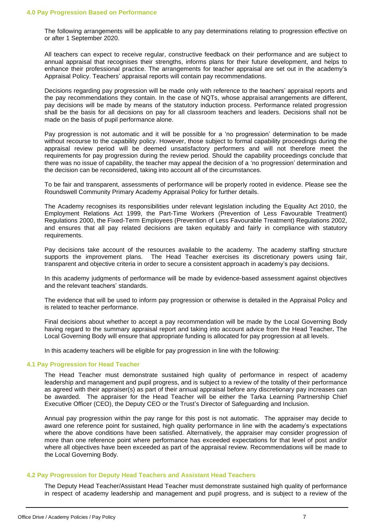The following arrangements will be applicable to any pay determinations relating to progression effective on or after 1 September 2020.

All teachers can expect to receive regular, constructive feedback on their performance and are subject to annual appraisal that recognises their strengths, informs plans for their future development, and helps to enhance their professional practice. The arrangements for teacher appraisal are set out in the academy's Appraisal Policy. Teachers' appraisal reports will contain pay recommendations.

Decisions regarding pay progression will be made only with reference to the teachers' appraisal reports and the pay recommendations they contain. In the case of NQTs, whose appraisal arrangements are different, pay decisions will be made by means of the statutory induction process. Performance related progression shall be the basis for all decisions on pay for all classroom teachers and leaders. Decisions shall not be made on the basis of pupil performance alone.

Pay progression is not automatic and it will be possible for a 'no progression' determination to be made without recourse to the capability policy. However, those subject to formal capability proceedings during the appraisal review period will be deemed unsatisfactory performers and will not therefore meet the requirements for pay progression during the review period. Should the capability proceedings conclude that there was no issue of capability, the teacher may appeal the decision of a 'no progression' determination and the decision can be reconsidered, taking into account all of the circumstances.

To be fair and transparent, assessments of performance will be properly rooted in evidence. Please see the Roundswell Community Primary Academy Appraisal Policy for further details.

The Academy recognises its responsibilities under relevant legislation including the Equality Act 2010, the Employment Relations Act 1999, the Part-Time Workers (Prevention of Less Favourable Treatment) Regulations 2000, the Fixed-Term Employees (Prevention of Less Favourable Treatment) Regulations 2002, and ensures that all pay related decisions are taken equitably and fairly in compliance with statutory requirements.

Pay decisions take account of the resources available to the academy. The academy staffing structure supports the improvement plans. The Head Teacher exercises its discretionary powers using fair, transparent and objective criteria in order to secure a consistent approach in academy's pay decisions.

In this academy judgments of performance will be made by evidence-based assessment against objectives and the relevant teachers' standards.

The evidence that will be used to inform pay progression or otherwise is detailed in the Appraisal Policy and is related to teacher performance.

Final decisions about whether to accept a pay recommendation will be made by the Local Governing Body having regard to the summary appraisal report and taking into account advice from the Head Teacher**.** The Local Governing Body will ensure that appropriate funding is allocated for pay progression at all levels.

In this academy teachers will be eligible for pay progression in line with the following:

# **4.1 Pay Progression for Head Teacher**

The Head Teacher must demonstrate sustained high quality of performance in respect of academy leadership and management and pupil progress, and is subject to a review of the totality of their performance as agreed with their appraiser(s) as part of their annual appraisal before any discretionary pay increases can be awarded. The appraiser for the Head Teacher will be either the Tarka Learning Partnership Chief Executive Officer (CEO), the Deputy CEO or the Trust's Director of Safeguarding and Inclusion.

Annual pay progression within the pay range for this post is not automatic. The appraiser may decide to award one reference point for sustained, high quality performance in line with the academy's expectations where the above conditions have been satisfied. Alternatively, the appraiser may consider progression of more than one reference point where performance has exceeded expectations for that level of post and/or where all objectives have been exceeded as part of the appraisal review. Recommendations will be made to the Local Governing Body.

#### **4.2 Pay Progression for Deputy Head Teachers and Assistant Head Teachers**

The Deputy Head Teacher/Assistant Head Teacher must demonstrate sustained high quality of performance in respect of academy leadership and management and pupil progress, and is subject to a review of the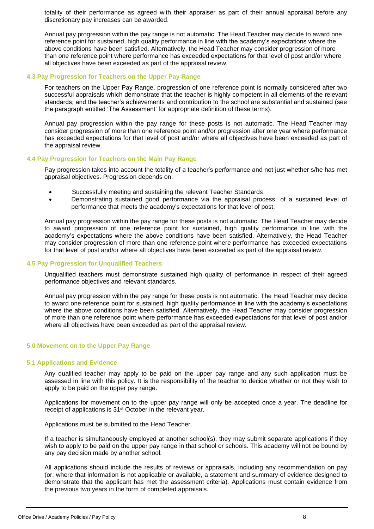totality of their performance as agreed with their appraiser as part of their annual appraisal before any discretionary pay increases can be awarded.

Annual pay progression within the pay range is not automatic. The Head Teacher may decide to award one reference point for sustained, high quality performance in line with the academy's expectations where the above conditions have been satisfied. Alternatively, the Head Teacher may consider progression of more than one reference point where performance has exceeded expectations for that level of post and/or where all objectives have been exceeded as part of the appraisal review.

#### **4.3 Pay Progression for Teachers on the Upper Pay Range**

For teachers on the Upper Pay Range, progression of one reference point is normally considered after two successful appraisals which demonstrate that the teacher is highly competent in all elements of the relevant standards; and the teacher's achievements and contribution to the school are substantial and sustained (see the paragraph entitled 'The Assessment' for appropriate definition of these terms).

Annual pay progression within the pay range for these posts is not automatic. The Head Teacher may consider progression of more than one reference point and/or progression after one year where performance has exceeded expectations for that level of post and/or where all objectives have been exceeded as part of the appraisal review.

#### **4.4 Pay Progression for Teachers on the Main Pay Range**

Pay progression takes into account the totality of a teacher's performance and not just whether s/he has met appraisal objectives. Progression depends on:

- Successfully meeting and sustaining the relevant Teacher Standards
- Demonstrating sustained good performance via the appraisal process, of a sustained level of performance that meets the academy's expectations for that level of post.

Annual pay progression within the pay range for these posts is not automatic. The Head Teacher may decide to award progression of one reference point for sustained, high quality performance in line with the academy's expectations where the above conditions have been satisfied. Alternatively, the Head Teacher may consider progression of more than one reference point where performance has exceeded expectations for that level of post and/or where all objectives have been exceeded as part of the appraisal review.

#### **4.5 Pay Progression for Unqualified Teachers**

Unqualified teachers must demonstrate sustained high quality of performance in respect of their agreed performance objectives and relevant standards.

Annual pay progression within the pay range for these posts is not automatic. The Head Teacher may decide to award one reference point for sustained, high quality performance in line with the academy's expectations where the above conditions have been satisfied. Alternatively, the Head Teacher may consider progression of more than one reference point where performance has exceeded expectations for that level of post and/or where all objectives have been exceeded as part of the appraisal review.

#### **5.0 Movement on to the Upper Pay Range**

#### **5.1 Applications and Evidence**

Any qualified teacher may apply to be paid on the upper pay range and any such application must be assessed in line with this policy. It is the responsibility of the teacher to decide whether or not they wish to apply to be paid on the upper pay range.

Applications for movement on to the upper pay range will only be accepted once a year. The deadline for receipt of applications is 31st October in the relevant year.

Applications must be submitted to the Head Teacher.

If a teacher is simultaneously employed at another school(s), they may submit separate applications if they wish to apply to be paid on the upper pay range in that school or schools. This academy will not be bound by any pay decision made by another school.

All applications should include the results of reviews or appraisals, including any recommendation on pay (or, where that information is not applicable or available, a statement and summary of evidence designed to demonstrate that the applicant has met the assessment criteria). Applications must contain evidence from the previous two years in the form of completed appraisals.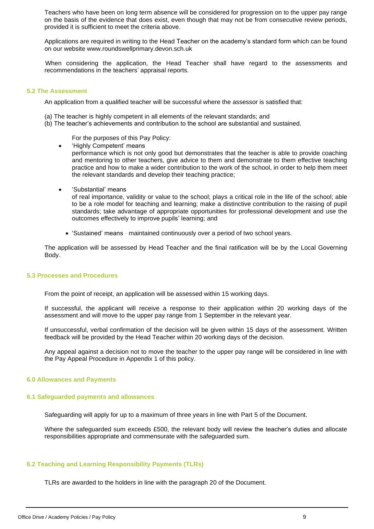Teachers who have been on long term absence will be considered for progression on to the upper pay range on the basis of the evidence that does exist, even though that may not be from consecutive review periods, provided it is sufficient to meet the criteria above.

Applications are required in writing to the Head Teacher on the academy's standard form which can be found on our website www.roundswellprimary.devon.sch.uk

When considering the application, the Head Teacher shall have regard to the assessments and recommendations in the teachers' appraisal reports.

#### **5.2 The Assessment**

An application from a qualified teacher will be successful where the assessor is satisfied that:

- (a) The teacher is highly competent in all elements of the relevant standards; and
- (b) The teacher's achievements and contribution to the school are substantial and sustained.

For the purposes of this Pay Policy:

- 'Highly Competent' means performance which is not only good but demonstrates that the teacher is able to provide coaching and mentoring to other teachers, give advice to them and demonstrate to them effective teaching practice and how to make a wider contribution to the work of the school, in order to help them meet the relevant standards and develop their teaching practice;
- 'Substantial' means

of real importance, validity or value to the school; plays a critical role in the life of the school; able to be a role model for teaching and learning; make a distinctive contribution to the raising of pupil standards; take advantage of appropriate opportunities for professional development and use the outcomes effectively to improve pupils' learning; and

• 'Sustained' means - maintained continuously over a period of two school years.

The application will be assessed by Head Teacher and the final ratification will be by the Local Governing Body.

#### **5.3 Processes and Procedures**

From the point of receipt, an application will be assessed within 15 working days.

If successful, the applicant will receive a response to their application within 20 working days of the assessment and will move to the upper pay range from 1 September in the relevant year.

If unsuccessful, verbal confirmation of the decision will be given within 15 days of the assessment. Written feedback will be provided by the Head Teacher within 20 working days of the decision.

Any appeal against a decision not to move the teacher to the upper pay range will be considered in line with the Pay Appeal Procedure in Appendix 1 of this policy.

# **6.0 Allowances and Payments**

#### **6.1 Safeguarded payments and allowances**

Safeguarding will apply for up to a maximum of three years in line with Part 5 of the Document.

Where the safeguarded sum exceeds £500, the relevant body will review the teacher's duties and allocate responsibilities appropriate and commensurate with the safeguarded sum.

# **6.2 Teaching and Learning Responsibility Payments (TLRs)**

TLRs are awarded to the holders in line with the paragraph 20 of the Document.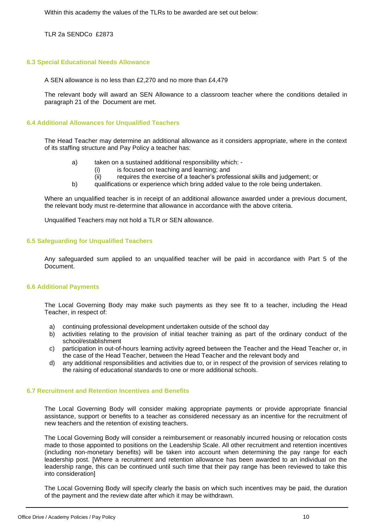Within this academy the values of the TLRs to be awarded are set out below:

TLR 2a SENDCo £2873

# **6.3 Special Educational Needs Allowance**

A SEN allowance is no less than £2,270 and no more than £4,479

The relevant body will award an SEN Allowance to a classroom teacher where the conditions detailed in paragraph 21 of the Document are met.

#### **6.4 Additional Allowances for Unqualified Teachers**

The Head Teacher may determine an additional allowance as it considers appropriate, where in the context of its staffing structure and Pay Policy a teacher has:

- a) taken on a sustained additional responsibility which:
	- (i) is focused on teaching and learning; and
	- (ii) requires the exercise of a teacher's professional skills and judgement; or
- b) qualifications or experience which bring added value to the role being undertaken.

Where an unqualified teacher is in receipt of an additional allowance awarded under a previous document, the relevant body must re-determine that allowance in accordance with the above criteria.

Unqualified Teachers may not hold a TLR or SEN allowance.

# **6.5 Safeguarding for Unqualified Teachers**

Any safeguarded sum applied to an unqualified teacher will be paid in accordance with Part 5 of the Document.

# **6.6 Additional Payments**

The Local Governing Body may make such payments as they see fit to a teacher, including the Head Teacher, in respect of:

- a) continuing professional development undertaken outside of the school day
- b) activities relating to the provision of initial teacher training as part of the ordinary conduct of the school/establishment
- c) participation in out-of-hours learning activity agreed between the Teacher and the Head Teacher or, in the case of the Head Teacher, between the Head Teacher and the relevant body and
- d) any additional responsibilities and activities due to, or in respect of the provision of services relating to the raising of educational standards to one or more additional schools.

# **6.7 Recruitment and Retention Incentives and Benefits**

The Local Governing Body will consider making appropriate payments or provide appropriate financial assistance, support or benefits to a teacher as considered necessary as an incentive for the recruitment of new teachers and the retention of existing teachers.

The Local Governing Body will consider a reimbursement or reasonably incurred housing or relocation costs made to those appointed to positions on the Leadership Scale. All other recruitment and retention incentives (including non-monetary benefits) will be taken into account when determining the pay range for each leadership post. [Where a recruitment and retention allowance has been awarded to an individual on the leadership range, this can be continued until such time that their pay range has been reviewed to take this into consideration]

The Local Governing Body will specify clearly the basis on which such incentives may be paid, the duration of the payment and the review date after which it may be withdrawn.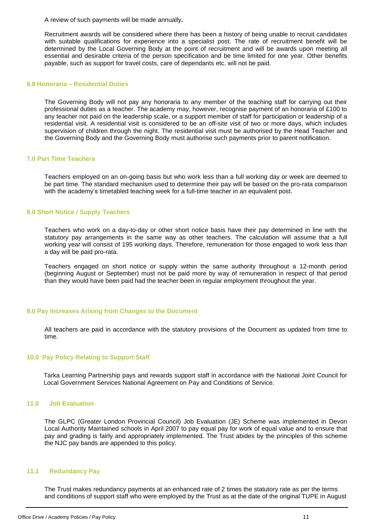A review of such payments will be made annually**.**

Recruitment awards will be considered where there has been a history of being unable to recruit candidates with suitable qualifications for experience into a specialist post. The rate of recruitment benefit will be determined by the Local Governing Body at the point of recruitment and will be awards upon meeting all essential and desirable criteria of the person specification and be time limited for one year. Other benefits payable, such as support for travel costs, care of dependants etc. will not be paid.

#### **6.8 Honoraria – Residential Duties**

The Governing Body will not pay any honoraria to any member of the teaching staff for carrying out their professional duties as a teacher. The academy may, however, recognise payment of an honoraria of £100 to any teacher not paid on the leadership scale, or a support member of staff for participation or leadership of a residential visit. A residential visit is considered to be an off-site visit of two or more days, which includes supervision of children through the night. The residential visit must be authorised by the Head Teacher and the Governing Body and the Governing Body must authorise such payments prior to parent notification.

#### **7.0 Part Time Teachers**

Teachers employed on an on-going basis but who work less than a full working day or week are deemed to be part time. The standard mechanism used to determine their pay will be based on the pro-rata comparison with the academy's timetabled teaching week for a full-time teacher in an equivalent post.

#### **8.0 Short Notice / Supply Teachers**

Teachers who work on a day-to-day or other short notice basis have their pay determined in line with the statutory pay arrangements in the same way as other teachers. The calculation will assume that a full working year will consist of 195 working days. Therefore, remuneration for those engaged to work less than a day will be paid pro-rata.

Teachers engaged on short notice or supply within the same authority throughout a 12-month period (beginning August or September) must not be paid more by way of remuneration in respect of that period than they would have been paid had the teacher been in regular employment throughout the year.

# **9.0 Pay Increases Arising from Changes to the Document**

All teachers are paid in accordance with the statutory provisions of the Document as updated from time to time.

# **10.0 Pay Policy Relating to Support Staff**

Tarka Learning Partnership pays and rewards support staff in accordance with the National Joint Council for Local Government Services National Agreement on Pay and Conditions of Service.

#### **11.0 Job Evaluation**

The GLPC (Greater London Provincial Council) Job Evaluation (JE) Scheme was implemented in Devon Local Authority Maintained schools in April 2007 to pay equal pay for work of equal value and to ensure that pay and grading is fairly and appropriately implemented. The Trust abides by the principles of this scheme the NJC pay bands are appended to this policy.

#### **11.1 Redundancy Pay**

The Trust makes redundancy payments at an enhanced rate of 2 times the statutory rate as per the terms and conditions of support staff who were employed by the Trust as at the date of the original TUPE in August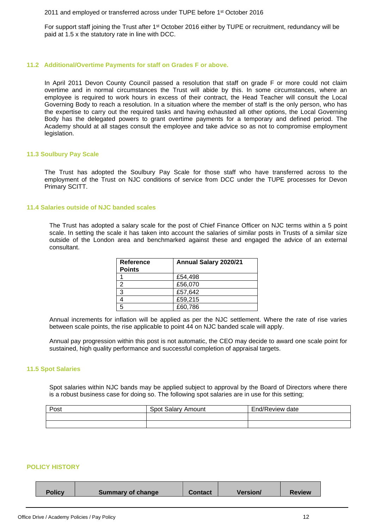2011 and employed or transferred across under TUPE before 1st October 2016

For support staff joining the Trust after 1<sup>st</sup> October 2016 either by TUPE or recruitment, redundancy will be paid at 1.5 x the statutory rate in line with DCC.

#### **11.2 Additional/Overtime Payments for staff on Grades F or above.**

In April 2011 Devon County Council passed a resolution that staff on grade F or more could not claim overtime and in normal circumstances the Trust will abide by this. In some circumstances, where an employee is required to work hours in excess of their contract, the Head Teacher will consult the Local Governing Body to reach a resolution. In a situation where the member of staff is the only person, who has the expertise to carry out the required tasks and having exhausted all other options, the Local Governing Body has the delegated powers to grant overtime payments for a temporary and defined period. The Academy should at all stages consult the employee and take advice so as not to compromise employment legislation.

# **11.3 Soulbury Pay Scale**

The Trust has adopted the Soulbury Pay Scale for those staff who have transferred across to the employment of the Trust on NJC conditions of service from DCC under the TUPE processes for Devon Primary SCITT.

#### **11.4 Salaries outside of NJC banded scales**

The Trust has adopted a salary scale for the post of Chief Finance Officer on NJC terms within a 5 point scale. In setting the scale it has taken into account the salaries of similar posts in Trusts of a similar size outside of the London area and benchmarked against these and engaged the advice of an external consultant.

| <b>Reference</b><br><b>Points</b> | Annual Salary 2020/21 |
|-----------------------------------|-----------------------|
|                                   | £54.498               |
|                                   | £56,070               |
| 3                                 | £57,642               |
|                                   | £59,215               |
| 5                                 | £60,786               |

Annual increments for inflation will be applied as per the NJC settlement. Where the rate of rise varies between scale points, the rise applicable to point 44 on NJC banded scale will apply.

Annual pay progression within this post is not automatic, the CEO may decide to award one scale point for sustained, high quality performance and successful completion of appraisal targets.

# **11.5 Spot Salaries**

Spot salaries within NJC bands may be applied subject to approval by the Board of Directors where there is a robust business case for doing so. The following spot salaries are in use for this setting;

| Post | Spot Salary<br>Amount | End/Review date |
|------|-----------------------|-----------------|
|      |                       |                 |
|      |                       |                 |

#### **POLICY HISTORY**

|  | <b>Policy</b> | <b>Summary of change</b> | <b>Contact</b> | <b>Version/</b> | <b>Review</b> |
|--|---------------|--------------------------|----------------|-----------------|---------------|
|--|---------------|--------------------------|----------------|-----------------|---------------|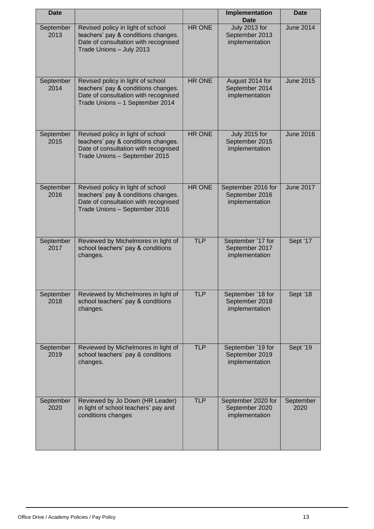| <b>Date</b>       |                                                                                                                                                     |               | Implementation<br><b>Date</b>                          | <b>Date</b>       |
|-------------------|-----------------------------------------------------------------------------------------------------------------------------------------------------|---------------|--------------------------------------------------------|-------------------|
| September<br>2013 | Revised policy in light of school<br>teachers' pay & conditions changes.<br>Date of consultation with recognised<br>Trade Unions - July 2013        | HR ONE        | July 2013 for<br>September 2013<br>implementation      | <b>June 2014</b>  |
| September<br>2014 | Revised policy in light of school<br>teachers' pay & conditions changes.<br>Date of consultation with recognised<br>Trade Unions - 1 September 2014 | <b>HR ONE</b> | August 2014 for<br>September 2014<br>implementation    | <b>June 2015</b>  |
| September<br>2015 | Revised policy in light of school<br>teachers' pay & conditions changes.<br>Date of consultation with recognised<br>Trade Unions - September 2015   | <b>HR ONE</b> | July 2015 for<br>September 2015<br>implementation      | <b>June 2016</b>  |
| September<br>2016 | Revised policy in light of school<br>teachers' pay & conditions changes.<br>Date of consultation with recognised<br>Trade Unions - September 2016   | <b>HR ONE</b> | September 2016 for<br>September 2016<br>implementation | <b>June 2017</b>  |
| September<br>2017 | Reviewed by Michelmores in light of<br>school teachers' pay & conditions<br>changes.                                                                | <b>TLP</b>    | September '17 for<br>September 2017<br>implementation  | Sept '17          |
| September<br>2018 | Reviewed by Michelmores in light of<br>school teachers' pay & conditions<br>changes.                                                                | <b>TLP</b>    | September '18 for<br>September 2018<br>implementation  | Sept '18          |
| September<br>2019 | Reviewed by Michelmores in light of<br>school teachers' pay & conditions<br>changes.                                                                | <b>TLP</b>    | September '19 for<br>September 2019<br>implementation  | Sept '19          |
| September<br>2020 | Reviewed by Jo Down (HR Leader)<br>in light of school teachers' pay and<br>conditions changes                                                       | <b>TLP</b>    | September 2020 for<br>September 2020<br>implementation | September<br>2020 |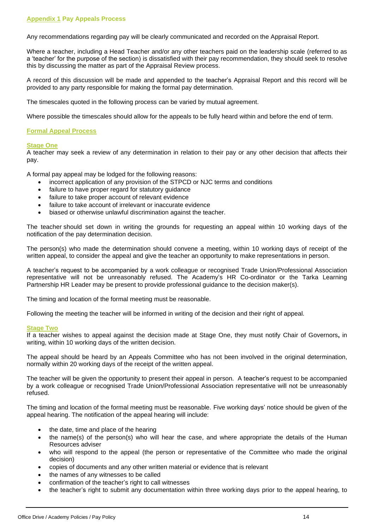Any recommendations regarding pay will be clearly communicated and recorded on the Appraisal Report.

Where a teacher, including a Head Teacher and/or any other teachers paid on the leadership scale (referred to as a 'teacher' for the purpose of the section) is dissatisfied with their pay recommendation, they should seek to resolve this by discussing the matter as part of the Appraisal Review process.

A record of this discussion will be made and appended to the teacher's Appraisal Report and this record will be provided to any party responsible for making the formal pay determination.

The timescales quoted in the following process can be varied by mutual agreement.

Where possible the timescales should allow for the appeals to be fully heard within and before the end of term.

# **Formal Appeal Process**

# **Stage One**

A teacher may seek a review of any determination in relation to their pay or any other decision that affects their pay.

A formal pay appeal may be lodged for the following reasons:

- incorrect application of any provision of the STPCD or NJC terms and conditions
- failure to have proper regard for statutory guidance
- failure to take proper account of relevant evidence
- failure to take account of irrelevant or inaccurate evidence
- biased or otherwise unlawful discrimination against the teacher.

The teacher should set down in writing the grounds for requesting an appeal within 10 working days of the notification of the pay determination decision.

The person(s) who made the determination should convene a meeting, within 10 working days of receipt of the written appeal, to consider the appeal and give the teacher an opportunity to make representations in person.

A teacher's request to be accompanied by a work colleague or recognised Trade Union/Professional Association representative will not be unreasonably refused. The Academy's HR Co-ordinator or the Tarka Learning Partnership HR Leader may be present to provide professional guidance to the decision maker(s).

The timing and location of the formal meeting must be reasonable.

Following the meeting the teacher will be informed in writing of the decision and their right of appeal.

# **Stage Two**

If a teacher wishes to appeal against the decision made at Stage One, they must notify Chair of Governors**,** in writing, within 10 working days of the written decision.

The appeal should be heard by an Appeals Committee who has not been involved in the original determination, normally within 20 working days of the receipt of the written appeal.

The teacher will be given the opportunity to present their appeal in person. A teacher's request to be accompanied by a work colleague or recognised Trade Union/Professional Association representative will not be unreasonably refused.

The timing and location of the formal meeting must be reasonable. Five working days' notice should be given of the appeal hearing. The notification of the appeal hearing will include:

- the date, time and place of the hearing
- the name(s) of the person(s) who will hear the case, and where appropriate the details of the Human Resources adviser
- who will respond to the appeal (the person or representative of the Committee who made the original decision)
- copies of documents and any other written material or evidence that is relevant
- the names of any witnesses to be called
- confirmation of the teacher's right to call witnesses
- the teacher's right to submit any documentation within three working days prior to the appeal hearing, to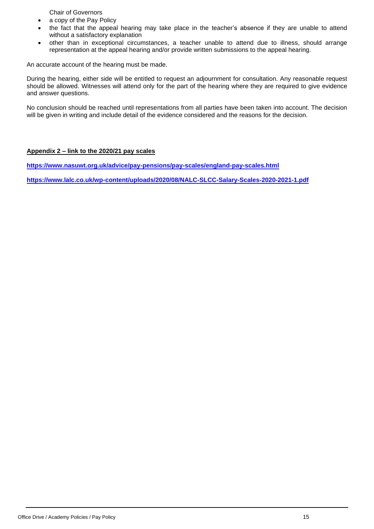Chair of Governors

- a copy of the Pay Policy
- the fact that the appeal hearing may take place in the teacher's absence if they are unable to attend without a satisfactory explanation
- other than in exceptional circumstances, a teacher unable to attend due to illness, should arrange representation at the appeal hearing and/or provide written submissions to the appeal hearing.

An accurate account of the hearing must be made.

During the hearing, either side will be entitled to request an adjournment for consultation. Any reasonable request should be allowed. Witnesses will attend only for the part of the hearing where they are required to give evidence and answer questions.

No conclusion should be reached until representations from all parties have been taken into account. The decision will be given in writing and include detail of the evidence considered and the reasons for the decision.

# **Appendix 2 – link to the 2020/21 pay scales**

**<https://www.nasuwt.org.uk/advice/pay-pensions/pay-scales/england-pay-scales.html>**

**<https://www.lalc.co.uk/wp-content/uploads/2020/08/NALC-SLCC-Salary-Scales-2020-2021-1.pdf>**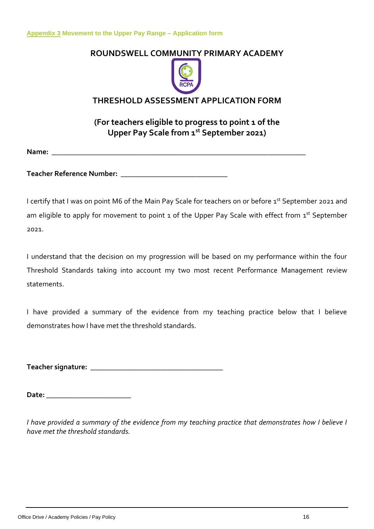# **ROUNDSWELL COMMUNITY PRIMARY ACADEMY**



# **THRESHOLD ASSESSMENT APPLICATION FORM**

**(For teachers eligible to progress to point 1 of the Upper Pay Scale from 1 st September 2021)** 

**Name: \_\_\_\_\_\_\_\_\_\_\_\_\_\_\_\_\_\_\_\_\_\_\_\_\_\_\_\_\_\_\_\_\_\_\_\_\_\_\_\_\_\_\_\_\_\_\_\_\_\_\_\_\_\_\_\_\_\_\_\_\_\_\_\_\_\_\_\_\_**

**Teacher Reference Number: \_\_\_\_\_\_\_\_\_\_\_\_\_\_\_\_\_\_\_\_\_\_\_\_\_\_\_\_\_**

I certify that I was on point M6 of the Main Pay Scale for teachers on or before 1st September 2021 and am eligible to apply for movement to point 1 of the Upper Pay Scale with effect from 1st September 2021.

I understand that the decision on my progression will be based on my performance within the four Threshold Standards taking into account my two most recent Performance Management review statements.

I have provided a summary of the evidence from my teaching practice below that I believe demonstrates how I have met the threshold standards.

**Teacher signature: \_\_\_\_\_\_\_\_\_\_\_\_\_\_\_\_\_\_\_\_\_\_\_\_\_\_\_\_\_\_\_\_\_\_\_\_**

**Date: \_\_\_\_\_\_\_\_\_\_\_\_\_\_\_\_\_\_\_\_\_\_\_**

*I have provided a summary of the evidence from my teaching practice that demonstrates how I believe I have met the threshold standards.*